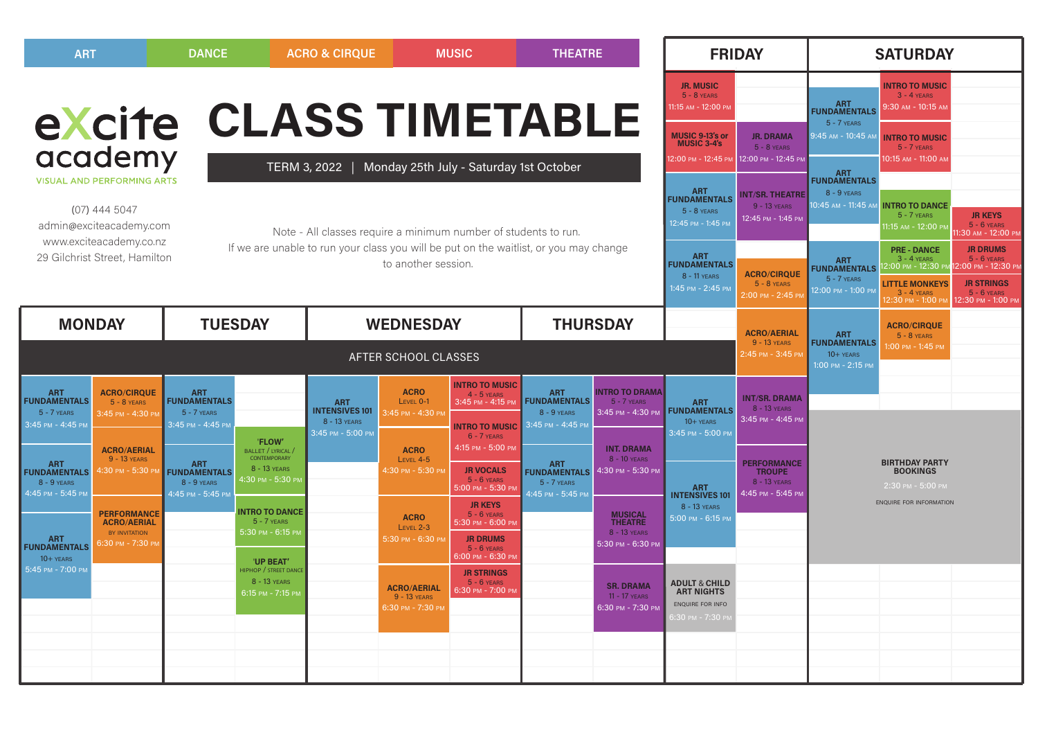| <b>ART</b>                                                             |                                                                                                            | <b>DANCE</b>                                                                                                               |                                                                                                                                                          | <b>ACRO &amp; CIRQUE</b>                                                 |                                                             | <b>THEATRE</b><br><b>MUSIC</b>                                                                      |                                                                         |                                                                 | <b>FRIDAY</b>                                                                                     |                                                                             | <b>SATURDAY</b>                                                                                                                                                                                        |                                                                                                                          |                                                                                                                   |
|------------------------------------------------------------------------|------------------------------------------------------------------------------------------------------------|----------------------------------------------------------------------------------------------------------------------------|----------------------------------------------------------------------------------------------------------------------------------------------------------|--------------------------------------------------------------------------|-------------------------------------------------------------|-----------------------------------------------------------------------------------------------------|-------------------------------------------------------------------------|-----------------------------------------------------------------|---------------------------------------------------------------------------------------------------|-----------------------------------------------------------------------------|--------------------------------------------------------------------------------------------------------------------------------------------------------------------------------------------------------|--------------------------------------------------------------------------------------------------------------------------|-------------------------------------------------------------------------------------------------------------------|
| academy                                                                |                                                                                                            |                                                                                                                            |                                                                                                                                                          |                                                                          | eXcite CLASS TIMETABLE                                      |                                                                                                     |                                                                         |                                                                 | <b>JR. MUSIC</b><br>$5 - 8$ YEARS<br>11:15 AM - 12:00 PM<br>MUSIC 9-13's or<br><b>MUSIC 3-4's</b> | <b>JR. DRAMA</b><br>$5 - 8$ YEARS<br>2:00 РМ - 12:45 РМ 12:00 РМ - 12:45 РМ | <b>INTRO TO MUSIC</b><br>$3 - 4$ YEARS<br><b>ART</b><br>FUNDAMENTALS<br>$9:30$ AM - $10:15$ AM<br>$5 - 7$ YEARS<br>9:45 AM - 10:45 AM<br><b>INTRO TO MUSIC</b><br>$5 - 7$ YEARS<br>10:15 AM - 11:00 AN |                                                                                                                          |                                                                                                                   |
|                                                                        | <b>VISUAL AND PERFORMING ARTS</b><br>$(07)$ 444 5047<br>admin@exciteacademy.com<br>www.exciteacademy.co.nz | Monday 25th July - Saturday 1st October<br>TERM 3, 2022<br>Note - All classes require a minimum number of students to run. |                                                                                                                                                          |                                                                          |                                                             |                                                                                                     |                                                                         |                                                                 | ART<br>FUNDAMENTALS<br>$5 - 8$ YEARS<br>12:45 PM - 1:45 PM                                        | <b>INT/SR. THEATRE</b><br>9 - 13 YEARS<br>12:45 PM - 1:45 PM                | <b>ART</b><br>FUNDAMENTALS<br>8 - 9 YEARS<br>10:45 ам - 11:45 ам                                                                                                                                       | <b>INTRO TO DANCE</b><br>5 - 7 YEARS<br>1:15 AM - 12:00 PM                                                               | <b>JR KEYS</b><br>$5 - 6$ YEARS<br>I:30 AM - 12:00 PM                                                             |
|                                                                        | 29 Gilchrist Street, Hamilton                                                                              |                                                                                                                            | If we are unable to run your class you will be put on the waitlist, or you may change<br>ART<br>FUNDAMENTALS<br>to another session.<br>1:45 PM - 2:45 PM |                                                                          |                                                             |                                                                                                     |                                                                         |                                                                 |                                                                                                   | <b>ACRO/CIRQUE</b><br>$5 - 8$ YEARS<br>2:00 PM - 2:45 PI                    | <b>ART</b><br><b>FUNDAMENTALS</b><br>$5 - 7$ YEARS<br>12:00 PM - 1:00 PM                                                                                                                               | <b>PRE - DANCE</b><br>$3 - 4$ YEARS<br>00 PM - 12:30 PM:!<br><b>LITTLE MONKEYS</b><br>$3 - 4$ YEARS<br>2:30 PM - 1:00 PM | <b>JR DRUMS</b><br>$5 - 6$ YEARS<br>2:00 РМ - 12:30 РМ<br><b>JR STRINGS</b><br>$5 - 6$ YEARS<br>2:30 рм - 1:00 рм |
| <b>MONDAY</b>                                                          |                                                                                                            | <b>TUESDAY</b>                                                                                                             |                                                                                                                                                          |                                                                          | <b>WEDNESDAY</b>                                            |                                                                                                     | <b>THURSDAY</b>                                                         |                                                                 |                                                                                                   | <b>ACRO/AERIAL</b><br>9 - 13 YEARS                                          | <b>ART</b><br><b>FUNDAMENTALS</b>                                                                                                                                                                      | <b>ACRO/CIRQUE</b><br>$5 - 8$ YEARS                                                                                      |                                                                                                                   |
| AFTER SCHOOL CLASSES                                                   |                                                                                                            |                                                                                                                            |                                                                                                                                                          |                                                                          |                                                             |                                                                                                     |                                                                         |                                                                 | 2:45 PM - 3:45 PM                                                                                 | $10 + YEARS$<br>1:00 PM - 2:15 PM                                           | :00 PM - 1:45 PM                                                                                                                                                                                       |                                                                                                                          |                                                                                                                   |
| ART<br>FUNDAMENTALS<br>$5 - 7$ YEARS<br>3:45 PM - 4:45 PM              | <b>ACRO/CIRQUE</b><br>$5 - 8$ YEARS<br>3:45 PM - 4:30 PM                                                   | <b>ART</b><br><b>FUNDAMENTALS</b><br>$5 - 7$ YEARS<br>3:45 PM - 4:45 PM                                                    | 'FLOW'                                                                                                                                                   | <b>ART</b><br><b>INTENSIVES 101</b><br>8 - 13 YEARS<br>3:45 PM - 5:00 PM | <b>ACRO</b><br>LEVEL 0-1<br>3:45 PM - 4:30 PM               | <b>INTRO TO MUSIC</b><br>$4 - 5$ YEARS<br>3:45 PM - 4:15 PM<br><b>INTRO TO MUSIC</b><br>6 - 7 YEARS | <b>ART</b><br><b>FUNDAMENTALS</b><br>$8 - 9$ YEARS<br>3:45 PM - 4:45 PM | <b>INTRO TO DRAMA</b><br>$5 - 7$ YEARS<br>3:45 PM - 4:30 PM     | <b>ART</b><br><b>FUNDAMENTALS</b><br>$10 + YEARS$<br>3:45 PM - 5:00 PM                            | <b>INT/SR. DRAMA</b><br>8 - 13 YEARS<br>3:45 PM - 4:45 PM                   |                                                                                                                                                                                                        |                                                                                                                          |                                                                                                                   |
| ART<br>FUNDAMENTALS<br>$8 - 9$ YEARS<br>4:45 PM - 5:45 PM              | <b>ACRO/AERIAL</b><br>9 - 13 YEARS<br>4:30 PM - 5:30 P                                                     | <b>ART</b><br><b>FUNDAMENTALS</b><br>$8 - 9$ YEARS<br>4:45 PM - 5:45 PM                                                    | <b>BALLET / LYRICAL /</b><br><b>CONTEMPORARY</b><br>8 - 13 YEARS<br>I:30 PM - 5:30 PI<br><b>INTRO TO DANCE</b>                                           |                                                                          | <b>ACRO</b><br>LEVEL 4-5<br>1:30 PM - 5:30 PM               | 4:15 PM - 5:00 PM<br><b>JR VOCALS</b><br>$5 - 6$ YEARS<br>5:00 PM - 5:30 PM<br><b>JR KEYS</b>       | ART<br>FUNDAMENTALS<br>$5 - 7$ YEARS<br>4:45 PM - 5:45 PM               | <b>INT. DRAMA</b><br>8 - 10 YEARS<br>4:30 РМ - 5:30 РМ          | <b>ART</b><br><b>INTENSIVES 101</b><br>8 - 13 YEARS                                               | <b>PERFORMANCE</b><br><b>TROUPE</b><br>8 - 13 YEARS<br>4:45 PM - 5:45 PM    |                                                                                                                                                                                                        | <b>BIRTHDAY PARTY</b><br><b>BOOKINGS</b><br>2:30 PM - 5:00 PM<br><b>ENQUIRE FOR INFORMATION</b>                          |                                                                                                                   |
| <b>ART</b><br><b>FUNDAMENTALS</b><br>$10 + YEARS$<br>5:45 PM - 7:00 PM | <b>PERFORMANCE</b><br><b>ACRO/AERIAL</b><br>BY INVITATION<br>6:30 PM - 7:30 PM                             |                                                                                                                            | $5 - 7$ YEARS<br>5:30 PM - 6:15 PM<br><b>'UP BEAT'</b><br>HIPHOP / STREET DANCE                                                                          |                                                                          | <b>ACRO</b><br>LEVEL 2-3<br>5:30 рм - 6:30 рм               | $5 - 6$ YEARS<br>5:30 pm - 6:00 pm<br><b>JR DRUMS</b><br>$5 - 6$ YEARS<br>3:00 PM - 6:30 PM         |                                                                         | <b>MUSICAL<br/>THEATRE</b><br>8 - 13 YEARS<br>5:30 РМ - 6:30 РМ | 5:00 PM - 6:15 PM                                                                                 |                                                                             |                                                                                                                                                                                                        |                                                                                                                          |                                                                                                                   |
|                                                                        |                                                                                                            |                                                                                                                            | 8 - 13 YEARS<br>6:15 РМ - 7:15 РМ                                                                                                                        |                                                                          | <b>ACRO/AERIAL</b><br>$9 - 13$ YEARS<br>$6:30$ PM - 7:30 PM | <b>JR STRINGS</b><br>$5 - 6$ Years<br>$6:30$ PM - $7:00$ PM                                         |                                                                         | <b>SR. DRAMA</b><br>11 - 17 YEARS<br>6:30 РМ - 7:30 РМ          | <b>ADULT &amp; CHILD</b><br><b>ART NIGHTS</b><br>ENQUIRE FOR INFO<br>3:30 PM - 7:30 P             |                                                                             |                                                                                                                                                                                                        |                                                                                                                          |                                                                                                                   |
|                                                                        |                                                                                                            |                                                                                                                            |                                                                                                                                                          |                                                                          |                                                             |                                                                                                     |                                                                         |                                                                 |                                                                                                   |                                                                             |                                                                                                                                                                                                        |                                                                                                                          |                                                                                                                   |